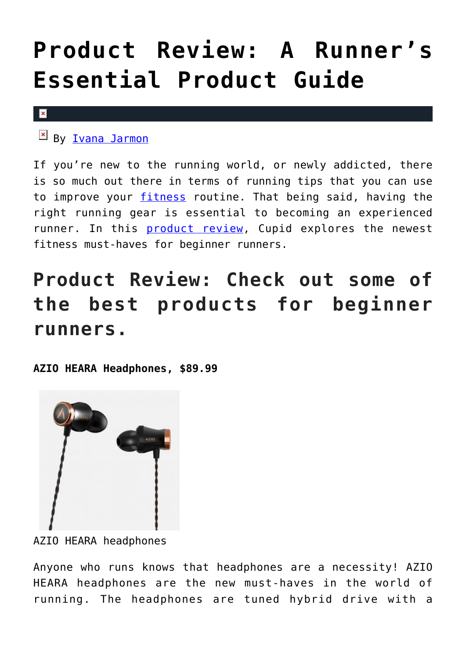## **[Product Review: A Runner's](https://cupidspulse.com/127347/product-review-runner-essential-product-guide/) [Essential Product Guide](https://cupidspulse.com/127347/product-review-runner-essential-product-guide/)**

## $\vert \mathbf{x} \vert$

By **Ivana Jarmon** 

If you're new to the running world, or newly addicted, there is so much out there in terms of running tips that you can use to improve your [fitness](http://cupidspulse.com/fitness/) routine. That being said, having the right running gear is essential to becoming an experienced runner. In this [product review](http://cupidspulse.com/product-reviews/), Cupid explores the newest fitness must-haves for beginner runners.

## **Product Review: Check out some of the best products for beginner runners.**

**AZIO HEARA Headphones, \$89.99**



AZIO HEARA headphones

Anyone who runs knows that headphones are a necessity! AZIO HEARA headphones are the new must-haves in the world of running. The headphones are tuned hybrid drive with a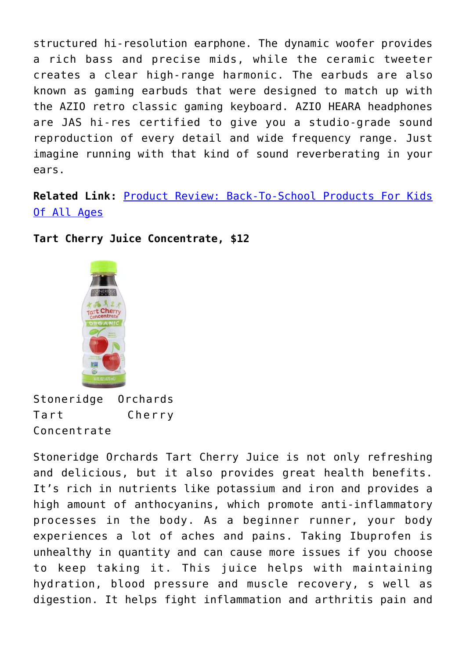structured hi-resolution earphone. The dynamic woofer provides a rich bass and precise mids, while the ceramic tweeter creates a clear high-range harmonic. The earbuds are also known as gaming earbuds that were designed to match up with the AZIO retro classic gaming keyboard. AZIO HEARA headphones are JAS hi-res certified to give you a studio-grade sound reproduction of every detail and wide frequency range. Just imagine running with that kind of sound reverberating in your ears.

**Related Link:** [Product Review: Back-To-School Products For Kids](http://cupidspulse.com/126308/product-review-back-school-products-all-ages/) [Of All Ages](http://cupidspulse.com/126308/product-review-back-school-products-all-ages/)

**Tart Cherry Juice Concentrate, \$12**



Stoneridge Orchards Tart Cherry Concentrate

Stoneridge Orchards Tart Cherry Juice is not only refreshing and delicious, but it also provides great health benefits. It's rich in nutrients like potassium and iron and provides a high amount of anthocyanins, which promote anti-inflammatory processes in the body. As a beginner runner, your body experiences a lot of aches and pains. Taking Ibuprofen is unhealthy in quantity and can cause more issues if you choose to keep taking it. This juice helps with maintaining hydration, blood pressure and muscle recovery, s well as digestion. It helps fight inflammation and arthritis pain and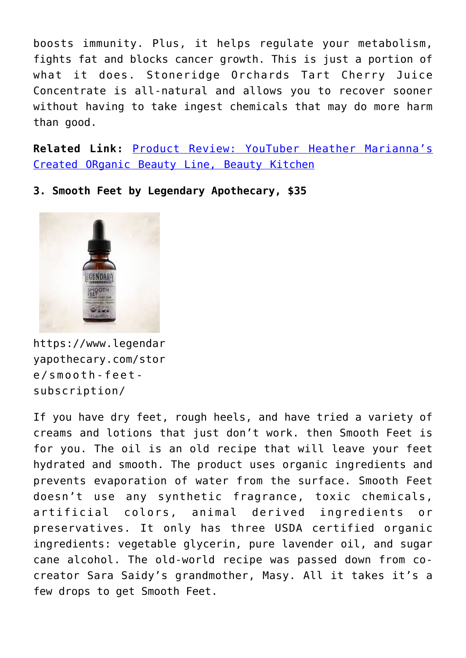boosts immunity. Plus, it helps regulate your metabolism, fights fat and blocks cancer growth. This is just a portion of what it does. Stoneridge Orchards Tart Cherry Juice Concentrate is all-natural and allows you to recover sooner without having to take ingest chemicals that may do more harm than good.

**Related Link:** [Product Review: YouTuber Heather Marianna's](http://cupidspulse.com/127010/product-review-beauty-kitchen-organic-beauty-celebrity-trend/) [Created ORganic Beauty Line, Beauty Kitchen](http://cupidspulse.com/127010/product-review-beauty-kitchen-organic-beauty-celebrity-trend/)

**3. Smooth Feet by Legendary Apothecary, \$35**



https://www.legendar yapothecary.com/stor e/smooth-feetsubscription/

If you have dry feet, rough heels, and have tried a variety of creams and lotions that just don't work. then Smooth Feet is for you. The oil is an old recipe that will leave your feet hydrated and smooth. The product uses organic ingredients and prevents evaporation of water from the surface. Smooth Feet doesn't use any synthetic fragrance, toxic chemicals, artificial colors, animal derived ingredients or preservatives. It only has three USDA certified organic ingredients: vegetable glycerin, pure lavender oil, and sugar cane alcohol. The old-world recipe was passed down from cocreator Sara Saidy's grandmother, Masy. All it takes it's a few drops to get Smooth Feet.